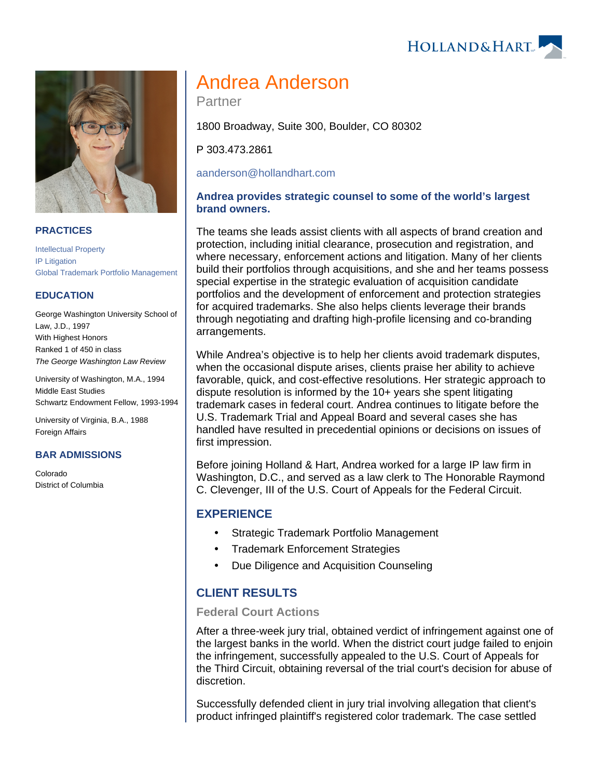HOLLAND& HART



## **PRACTICES**

[Intellectual Property](https://www.hollandhart.com/19664) [IP Litigation](https://www.hollandhart.com/19716) [Global Trademark Portfolio Management](https://www.hollandhart.com/19760)

#### **EDUCATION**

George Washington University School of Law, J.D., 1997 With Highest Honors Ranked 1 of 450 in class The George Washington Law Review

University of Washington, M.A., 1994 Middle East Studies Schwartz Endowment Fellow, 1993-1994

University of Virginia, B.A., 1988 Foreign Affairs

#### **BAR ADMISSIONS**

Colorado District of Columbia

# Andrea Anderson

Partner

1800 Broadway, Suite 300, Boulder, CO 80302

P 303.473.2861

[aanderson@hollandhart.com](mailto:aanderson@hollandhart.com)

## **Andrea provides strategic counsel to some of the world's largest brand owners.**

The teams she leads assist clients with all aspects of brand creation and protection, including initial clearance, prosecution and registration, and where necessary, enforcement actions and litigation. Many of her clients build their portfolios through acquisitions, and she and her teams possess special expertise in the strategic evaluation of acquisition candidate portfolios and the development of enforcement and protection strategies for acquired trademarks. She also helps clients leverage their brands through negotiating and drafting high-profile licensing and co-branding arrangements.

While Andrea's objective is to help her clients avoid trademark disputes, when the occasional dispute arises, clients praise her ability to achieve favorable, quick, and cost-effective resolutions. Her strategic approach to dispute resolution is informed by the 10+ years she spent litigating trademark cases in federal court. Andrea continues to litigate before the U.S. Trademark Trial and Appeal Board and several cases she has handled have resulted in precedential opinions or decisions on issues of first impression.

Before joining Holland & Hart, Andrea worked for a large IP law firm in Washington, D.C., and served as a law clerk to The Honorable Raymond C. Clevenger, III of the U.S. Court of Appeals for the Federal Circuit.

# **EXPERIENCE**

- Strategic Trademark Portfolio Management
- Trademark Enforcement Strategies
- Due Diligence and Acquisition Counseling

# **CLIENT RESULTS**

#### **Federal Court Actions**

After a three-week jury trial, obtained verdict of infringement against one of the largest banks in the world. When the district court judge failed to enjoin the infringement, successfully appealed to the U.S. Court of Appeals for the Third Circuit, obtaining reversal of the trial court's decision for abuse of discretion.

Successfully defended client in jury trial involving allegation that client's product infringed plaintiff's registered color trademark. The case settled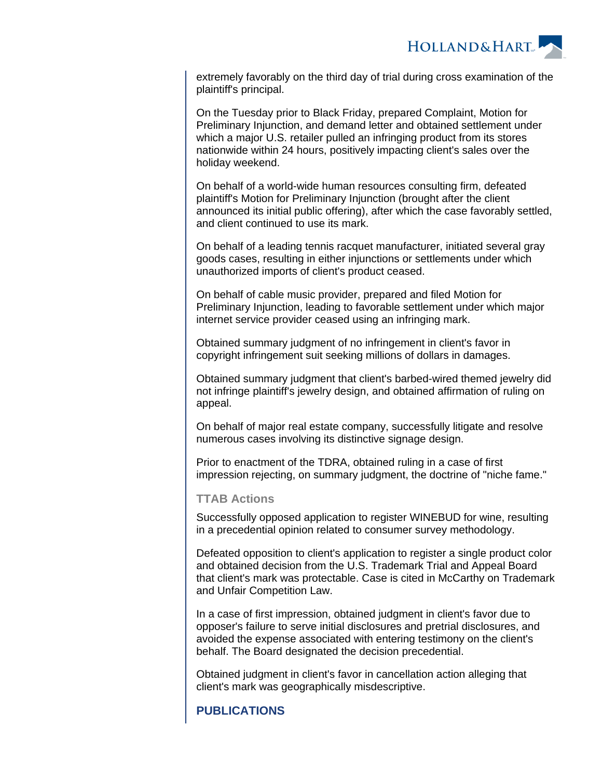

extremely favorably on the third day of trial during cross examination of the plaintiff's principal.

On the Tuesday prior to Black Friday, prepared Complaint, Motion for Preliminary Injunction, and demand letter and obtained settlement under which a major U.S. retailer pulled an infringing product from its stores nationwide within 24 hours, positively impacting client's sales over the holiday weekend.

On behalf of a world-wide human resources consulting firm, defeated plaintiff's Motion for Preliminary Injunction (brought after the client announced its initial public offering), after which the case favorably settled, and client continued to use its mark.

On behalf of a leading tennis racquet manufacturer, initiated several gray goods cases, resulting in either injunctions or settlements under which unauthorized imports of client's product ceased.

On behalf of cable music provider, prepared and filed Motion for Preliminary Injunction, leading to favorable settlement under which major internet service provider ceased using an infringing mark.

Obtained summary judgment of no infringement in client's favor in copyright infringement suit seeking millions of dollars in damages.

Obtained summary judgment that client's barbed-wired themed jewelry did not infringe plaintiff's jewelry design, and obtained affirmation of ruling on appeal.

On behalf of major real estate company, successfully litigate and resolve numerous cases involving its distinctive signage design.

Prior to enactment of the TDRA, obtained ruling in a case of first impression rejecting, on summary judgment, the doctrine of "niche fame."

## **TTAB Actions**

Successfully opposed application to register WINEBUD for wine, resulting in a precedential opinion related to consumer survey methodology.

Defeated opposition to client's application to register a single product color and obtained decision from the U.S. Trademark Trial and Appeal Board that client's mark was protectable. Case is cited in McCarthy on Trademark and Unfair Competition Law.

In a case of first impression, obtained judgment in client's favor due to opposer's failure to serve initial disclosures and pretrial disclosures, and avoided the expense associated with entering testimony on the client's behalf. The Board designated the decision precedential.

Obtained judgment in client's favor in cancellation action alleging that client's mark was geographically misdescriptive.

# **PUBLICATIONS**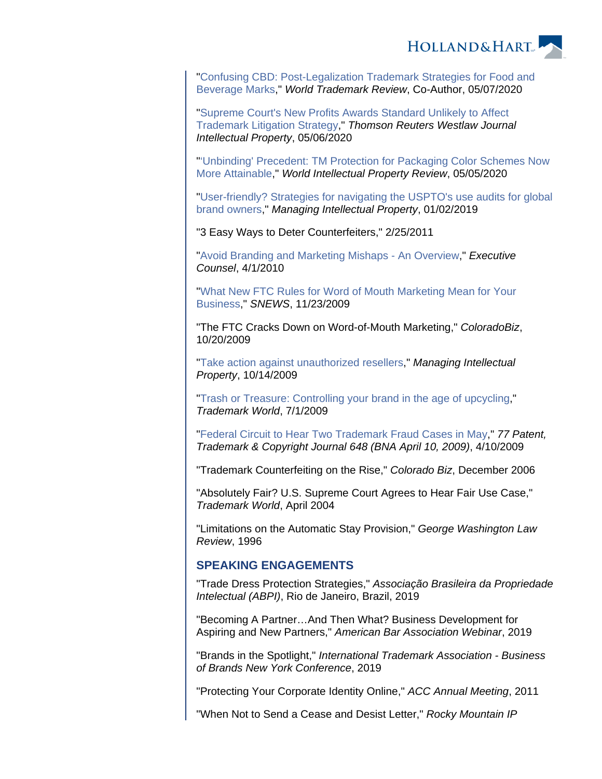

"[Confusing CBD: Post-Legalization Trademark Strategies for Food and](https://www.hollandhart.com/37611)  [Beverage Marks,](https://www.hollandhart.com/37611)" World Trademark Review, Co-Author, 05/07/2020

"[Supreme Court's New Profits Awards Standard Unlikely to Affect](https://www.hollandhart.com/37601)  [Trademark Litigation Strategy](https://www.hollandhart.com/37601)," Thomson Reuters Westlaw Journal Intellectual Property, 05/06/2020

"['Unbinding' Precedent: TM Protection for Packaging Color Schemes Now](https://www.hollandhart.com/37621)  [More Attainable,](https://www.hollandhart.com/37621)" World Intellectual Property Review, 05/05/2020

"[User-friendly? Strategies for navigating the USPTO's use audits for global](https://www.hollandhart.com/35408)  [brand owners](https://www.hollandhart.com/35408)," Managing Intellectual Property, 01/02/2019

"3 Easy Ways to Deter Counterfeiters," 2/25/2011

"[Avoid Branding and Marketing Mishaps - An Overview](https://www.hollandhart.com/files/AvoidBrandingMarketingMishaps.pdf)," Executive Counsel, 4/1/2010

"[What New FTC Rules for Word of Mouth Marketing Mean for Your](https://www.hollandhart.com/17232)  [Business](https://www.hollandhart.com/17232)," SNEWS, 11/23/2009

"The FTC Cracks Down on Word-of-Mouth Marketing," ColoradoBiz, 10/20/2009

"[Take action against unauthorized resellers](https://www.hollandhart.com/files/Transshipment_Anderson.pdf)," Managing Intellectual Property, 10/14/2009

"[Trash or Treasure: Controlling your brand in the age of upcycling,](https://www.hollandhart.com/files/Trash_Treasure_Upcycling.pdf)" Trademark World, 7/1/2009

"[Federal Circuit to Hear Two Trademark Fraud Cases in May,](https://www.hollandhart.com/files/FederalCircuitHear2TrademarkCases.pdf)" 77 Patent, Trademark & Copyright Journal 648 (BNA April 10, 2009), 4/10/2009

"Trademark Counterfeiting on the Rise," Colorado Biz, December 2006

"Absolutely Fair? U.S. Supreme Court Agrees to Hear Fair Use Case," Trademark World, April 2004

"Limitations on the Automatic Stay Provision," George Washington Law Review, 1996

# **SPEAKING ENGAGEMENTS**

"Trade Dress Protection Strategies," Associação Brasileira da Propriedade Intelectual (ABPI), Rio de Janeiro, Brazil, 2019

"Becoming A Partner…And Then What? Business Development for Aspiring and New Partners," American Bar Association Webinar, 2019

"Brands in the Spotlight," International Trademark Association - Business of Brands New York Conference, 2019

"Protecting Your Corporate Identity Online," ACC Annual Meeting, 2011

"When Not to Send a Cease and Desist Letter," Rocky Mountain IP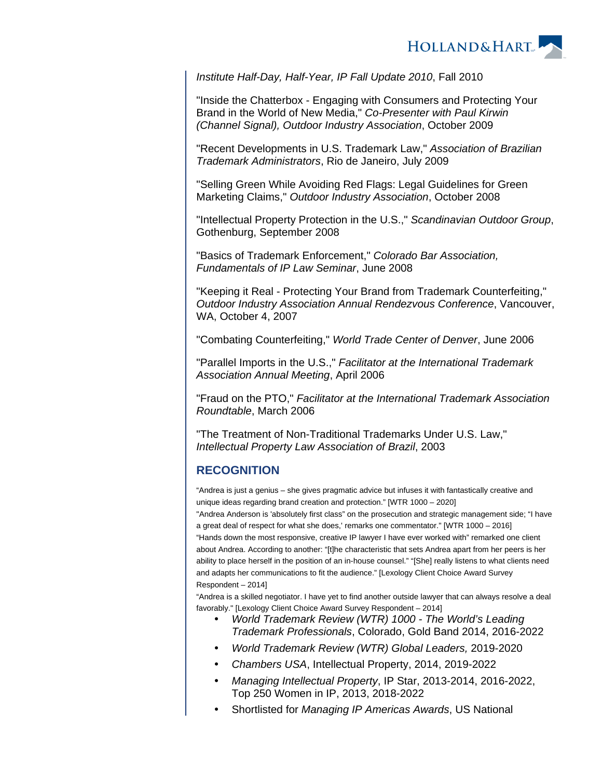

Institute Half-Day, Half-Year, IP Fall Update 2010, Fall 2010

"Inside the Chatterbox - Engaging with Consumers and Protecting Your Brand in the World of New Media," Co-Presenter with Paul Kirwin (Channel Signal), Outdoor Industry Association, October 2009

"Recent Developments in U.S. Trademark Law," Association of Brazilian Trademark Administrators, Rio de Janeiro, July 2009

"Selling Green While Avoiding Red Flags: Legal Guidelines for Green Marketing Claims," Outdoor Industry Association, October 2008

"Intellectual Property Protection in the U.S.," Scandinavian Outdoor Group, Gothenburg, September 2008

"Basics of Trademark Enforcement," Colorado Bar Association, Fundamentals of IP Law Seminar, June 2008

"Keeping it Real - Protecting Your Brand from Trademark Counterfeiting," Outdoor Industry Association Annual Rendezvous Conference, Vancouver, WA, October 4, 2007

"Combating Counterfeiting," World Trade Center of Denver, June 2006

"Parallel Imports in the U.S.," Facilitator at the International Trademark Association Annual Meeting, April 2006

"Fraud on the PTO," Facilitator at the International Trademark Association Roundtable, March 2006

"The Treatment of Non-Traditional Trademarks Under U.S. Law," Intellectual Property Law Association of Brazil, 2003

## **RECOGNITION**

"Andrea is just a genius – she gives pragmatic advice but infuses it with fantastically creative and unique ideas regarding brand creation and protection." [WTR 1000 – 2020] "Andrea Anderson is 'absolutely first class" on the prosecution and strategic management side; "I have a great deal of respect for what she does,' remarks one commentator." [WTR 1000 – 2016] "Hands down the most responsive, creative IP lawyer I have ever worked with" remarked one client about Andrea. According to another: "[t]he characteristic that sets Andrea apart from her peers is her ability to place herself in the position of an in-house counsel." "[She] really listens to what clients need and adapts her communications to fit the audience." [Lexology Client Choice Award Survey Respondent – 2014]

"Andrea is a skilled negotiator. I have yet to find another outside lawyer that can always resolve a deal favorably." [Lexology Client Choice Award Survey Respondent – 2014]

- World Trademark Review (WTR) 1000 The World's Leading Trademark Professionals, Colorado, Gold Band 2014, 2016-2022
- World Trademark Review (WTR) Global Leaders, 2019-2020
- Chambers USA, Intellectual Property, 2014, 2019-2022
- Managing Intellectual Property, IP Star, 2013-2014, 2016-2022, Top 250 Women in IP, 2013, 2018-2022
- Shortlisted for Managing IP Americas Awards, US National